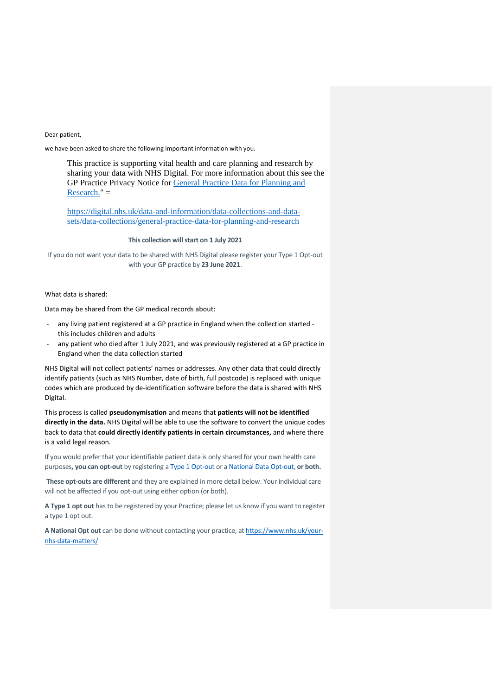#### Dear patient,

we have been asked to share the following important information with you.

This practice is supporting vital health and care planning and research by sharing your data with NHS Digital. For more information about this see the GP Practice Privacy Notice for [General Practice Data for Planning and](https://digital.nhs.uk/data-and-information/data-collections-and-data-sets/data-collections/general-practice-data-for-planning-and-research/gp-privacy-notice)  [Research."](https://digital.nhs.uk/data-and-information/data-collections-and-data-sets/data-collections/general-practice-data-for-planning-and-research/gp-privacy-notice) =

[https://digital.nhs.uk/data-and-information/data-collections-and-data](https://digital.nhs.uk/data-and-information/data-collections-and-data-sets/data-collections/general-practice-data-for-planning-and-research)[sets/data-collections/general-practice-data-for-planning-and-research](https://digital.nhs.uk/data-and-information/data-collections-and-data-sets/data-collections/general-practice-data-for-planning-and-research)

#### **This collection will start on 1 July 2021**

If you do not want your data to be shared with NHS Digital please register your Type 1 Opt-out with your GP practice by **23 June 2021**.

#### What data is shared:

Data may be shared from the GP medical records about:

- any living patient registered at a GP practice in England when the collection started this includes children and adults
- any patient who died after 1 July 2021, and was previously registered at a GP practice in England when the data collection started

NHS Digital will not collect patients' names or addresses. Any other data that could directly identify patients (such as NHS Number, date of birth, full postcode) is replaced with unique codes which are produced by de-identification software before the data is shared with NHS Digital.

This process is called **pseudonymisation** and means that **patients will not be identified directly in the data.** NHS Digital will be able to use the software to convert the unique codes back to data that **could directly identify patients in certain circumstances,** and where there is a valid legal reason.

If you would prefer that your identifiable patient data is only shared for your own health care purposes**, you can opt-out** by registering a [Type 1 Opt-out](https://emea01.safelinks.protection.outlook.com/?url=https%3A%2F%2Fdigital.nhs.uk%2Fabout-nhs-digital%2Four-work%2Fkeeping-patient-data-safe%2Fhow-we-look-after-your-health-and-care-information%2Fyour-information-choices%2Fopting-out-of-sharing-your-confidential-patient-information&data=04%7C01%7C%7C923c87f9f743462f479d08d91b7e486e%7C84df9e7fe9f640afb435aaaaaaaaaaaa%7C1%7C0%7C637571051464993876%7CUnknown%7CTWFpbGZsb3d8eyJWIjoiMC4wLjAwMDAiLCJQIjoiV2luMzIiLCJBTiI6Ik1haWwiLCJXVCI6Mn0%3D%7C1000&sdata=GvT1DWfnst0rGhHQbb6BnAUweNGpHXXpButDRsbmfJU%3D&reserved=0) or a [National Data Opt-out,](https://emea01.safelinks.protection.outlook.com/?url=https%3A%2F%2Fwww.nhs.uk%2Fyour-nhs-data-matters%2Fmanage-your-choice%2F&data=04%7C01%7C%7C923c87f9f743462f479d08d91b7e486e%7C84df9e7fe9f640afb435aaaaaaaaaaaa%7C1%7C0%7C637571051465003828%7CUnknown%7CTWFpbGZsb3d8eyJWIjoiMC4wLjAwMDAiLCJQIjoiV2luMzIiLCJBTiI6Ik1haWwiLCJXVCI6Mn0%3D%7C1000&sdata=V2VB2A%2BT6isQl7F3Sk3s0QMjWVFpPAdHizoa5rb1Df0%3D&reserved=0) **or both.**

**These opt-outs are different** and they are explained in more detail below. Your individual care will not be affected if you opt-out using either option (or both).

**A Type 1 opt out** has to be registered by your Practice; please let us know if you want to register a type 1 opt out.

**A National Opt out** can be done without contacting your practice, at [https://www.nhs.uk/your](https://www.nhs.uk/your-nhs-data-matters/)[nhs-data-matters/](https://www.nhs.uk/your-nhs-data-matters/)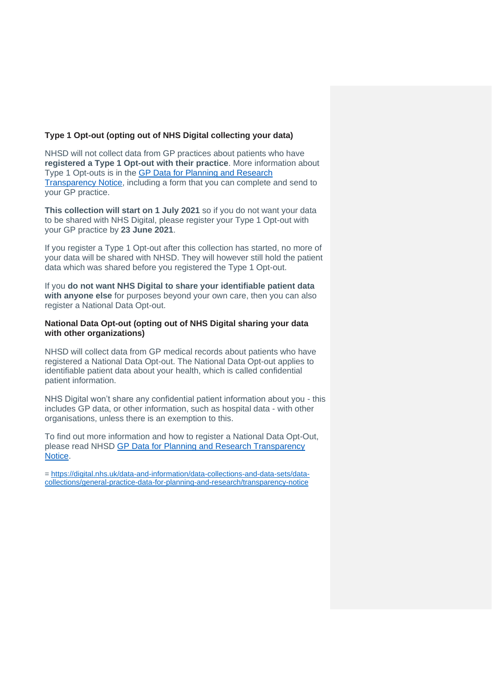# **Type 1 Opt-out (opting out of NHS Digital collecting your data)**

NHSD will not collect data from GP practices about patients who have **registered a Type 1 Opt-out with their practice**. More information about Type 1 Opt-outs is in the [GP Data for Planning and Research](https://digital.nhs.uk/data-and-information/data-collections-and-data-sets/data-collections/general-practice-data-for-planning-and-research/transparency-notice)  [Transparency Notice,](https://digital.nhs.uk/data-and-information/data-collections-and-data-sets/data-collections/general-practice-data-for-planning-and-research/transparency-notice) including a form that you can complete and send to your GP practice.

**This collection will start on 1 July 2021** so if you do not want your data to be shared with NHS Digital, please register your Type 1 Opt-out with your GP practice by **23 June 2021**.

If you register a Type 1 Opt-out after this collection has started, no more of your data will be shared with NHSD. They will however still hold the patient data which was shared before you registered the Type 1 Opt-out.

If you **do not want NHS Digital to share your identifiable patient data with anyone else** for purposes beyond your own care, then you can also register a National Data Opt-out.

## **National Data Opt-out (opting out of NHS Digital sharing your data with other organizations)**

NHSD will collect data from GP medical records about patients who have registered a National Data Opt-out. The National Data Opt-out applies to identifiable patient data about your health, which is called confidential patient information.

NHS Digital won't share any confidential patient information about you - this includes GP data, or other information, such as hospital data - with other organisations, unless there is an exemption to this.

To find out more information and how to register a National Data Opt-Out, please read NHSD [GP Data for Planning and Research Transparency](https://digital.nhs.uk/data-and-information/data-collections-and-data-sets/data-collections/general-practice-data-for-planning-and-research/transparency-notice)  [Notice.](https://digital.nhs.uk/data-and-information/data-collections-and-data-sets/data-collections/general-practice-data-for-planning-and-research/transparency-notice)

= [https://digital.nhs.uk/data-and-information/data-collections-and-data-sets/data](https://digital.nhs.uk/data-and-information/data-collections-and-data-sets/data-collections/general-practice-data-for-planning-and-research/transparency-notice)[collections/general-practice-data-for-planning-and-research/transparency-notice](https://digital.nhs.uk/data-and-information/data-collections-and-data-sets/data-collections/general-practice-data-for-planning-and-research/transparency-notice)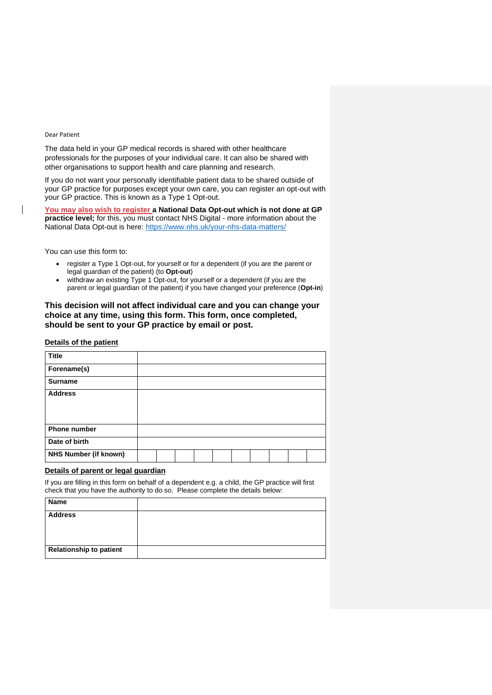#### Dear Patient

 $\overline{\phantom{a}}$ 

The data held in your GP medical records is shared with other healthcare professionals for the purposes of your individual care. It can also be shared with other organisations to support health and care planning and research.

If you do not want your personally identifiable patient data to be shared outside of your GP practice for purposes except your own care, you can register an opt-out with your GP practice. This is known as a Type 1 Opt-out.

**You may also wish to register a National Data Opt-out which is not done at GP practice level;** for this, you must contact NHS Digital - more information about the National Data Opt-out is here:<https://www.nhs.uk/your-nhs-data-matters/>

You can use this form to:

- register a Type 1 Opt-out, for yourself or for a dependent (if you are the parent or legal guardian of the patient) (to **Opt-out**)
- withdraw an existing Type 1 Opt-out, for yourself or a dependent (if you are the parent or legal guardian of the patient) if you have changed your preference (**Opt-in**)

## **This decision will not affect individual care and you can change your choice at any time, using this form. This form, once completed, should be sent to your GP practice by email or post.**

#### **Details of the patient**

| <b>Title</b>                 |  |  |  |  |  |
|------------------------------|--|--|--|--|--|
| Forename(s)                  |  |  |  |  |  |
| <b>Surname</b>               |  |  |  |  |  |
| <b>Address</b>               |  |  |  |  |  |
|                              |  |  |  |  |  |
|                              |  |  |  |  |  |
| <b>Phone number</b>          |  |  |  |  |  |
| Date of birth                |  |  |  |  |  |
| <b>NHS Number (if known)</b> |  |  |  |  |  |

### **Details of parent or legal guardian**

If you are filling in this form on behalf of a dependent e.g. a child, the GP practice will first check that you have the authority to do so. Please complete the details below:

| Name                           |  |
|--------------------------------|--|
| <b>Address</b>                 |  |
|                                |  |
|                                |  |
| <b>Relationship to patient</b> |  |